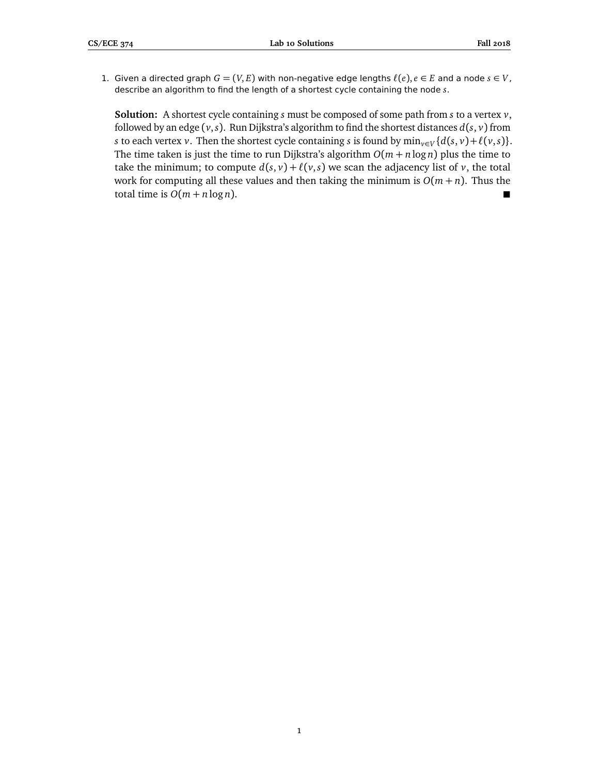1. Given a directed graph  $G = (V, E)$  with non-negative edge lengths  $\ell(e), e \in E$  and a node  $s \in V$ , describe an algorithm to find the length of a shortest cycle containing the node *s*.

**Solution:** A shortest cycle containing *s* must be composed of some path from *s* to a vertex *v*, followed by an edge  $(v, s)$ . Run Dijkstra's algorithm to find the shortest distances  $d(s, v)$  from *s* to each vertex *v*. Then the shortest cycle containing *s* is found by  $\min_{v \in V} \{d(s, v) + \ell(v, s)\}.$ The time taken is just the time to run Dijkstra's algorithm  $O(m + n \log n)$  plus the time to take the minimum; to compute  $d(s, v) + l(v, s)$  we scan the adjacency list of *v*, the total work for computing all these values and then taking the minimum is  $O(m + n)$ . Thus the total time is  $O(m + n \log n)$ .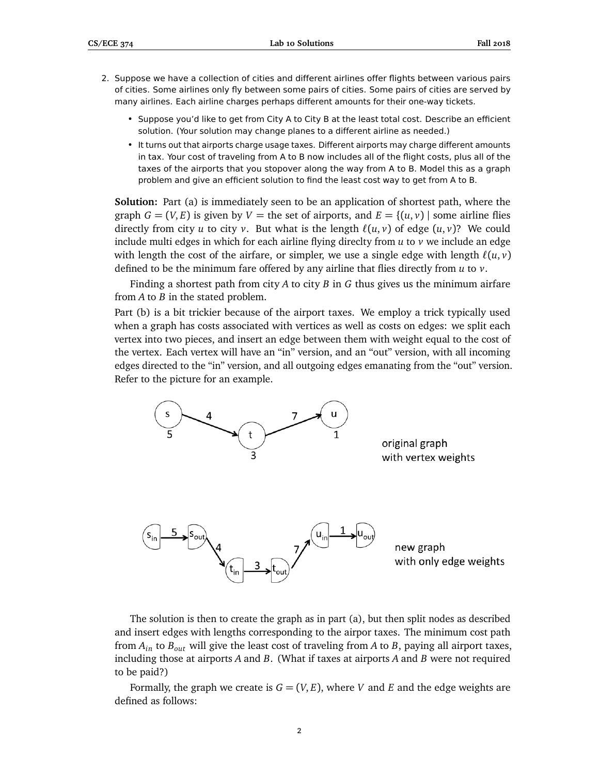- 2. Suppose we have a collection of cities and different airlines offer flights between various pairs of cities. Some airlines only fly between some pairs of cities. Some pairs of cities are served by many airlines. Each airline charges perhaps different amounts for their one-way tickets.
	- Suppose you'd like to get from City A to City B at the least total cost. Describe an efficient solution. (Your solution may change planes to a different airline as needed.)
	- It turns out that airports charge usage taxes. Different airports may charge different amounts in tax. Your cost of traveling from A to B now includes all of the flight costs, plus all of the taxes of the airports that you stopover along the way from A to B. Model this as a graph problem and give an efficient solution to find the least cost way to get from A to B.

**Solution:** Part (a) is immediately seen to be an application of shortest path, where the graph  $G = (V, E)$  is given by  $V =$  the set of airports, and  $E = \{(u, v) \mid$  some airline flies directly from city *u* to city *v*. But what is the length  $\ell(u, v)$  of edge  $(u, v)$ ? We could include multi edges in which for each airline flying direclty from *u* to *v* we include an edge with length the cost of the airfare, or simpler, we use a single edge with length  $\ell(u, v)$ defined to be the minimum fare offered by any airline that flies directly from *u* to *v*.

Finding a shortest path from city *A* to city *B* in *G* thus gives us the minimum airfare from *A* to *B* in the stated problem.

Part (b) is a bit trickier because of the airport taxes. We employ a trick typically used when a graph has costs associated with vertices as well as costs on edges: we split each vertex into two pieces, and insert an edge between them with weight equal to the cost of the vertex. Each vertex will have an "in" version, and an "out" version, with all incoming edges directed to the "in" version, and all outgoing edges emanating from the "out" version. Refer to the picture for an example.



The solution is then to create the graph as in part (a), but then split nodes as described and insert edges with lengths corresponding to the airpor taxes. The minimum cost path from *Ain* to *Bout* will give the least cost of traveling from *A* to *B*, paying all airport taxes, including those at airports *A* and *B*. (What if taxes at airports *A* and *B* were not required to be paid?)

Formally, the graph we create is  $G = (V, E)$ , where *V* and *E* and the edge weights are defined as follows: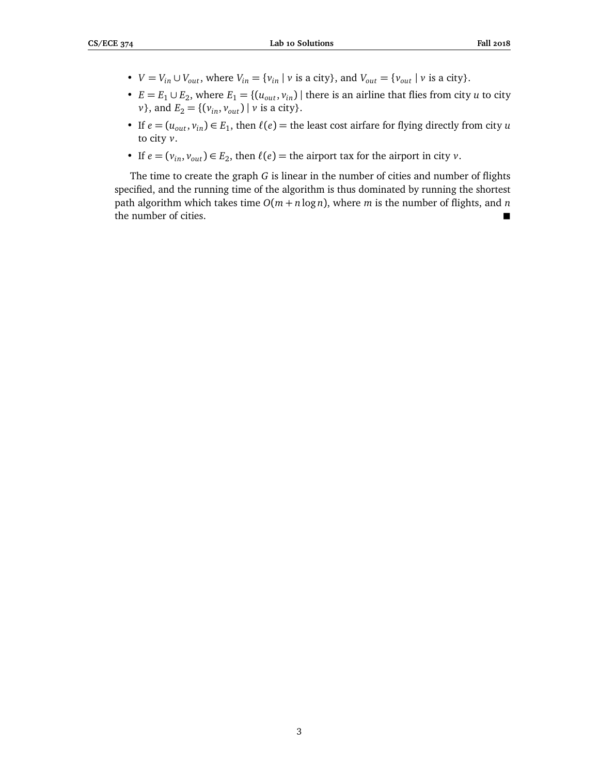- $V = V_{in} \cup V_{out}$ , where  $V_{in} = \{v_{in} \mid v \text{ is a city}\}$ , and  $V_{out} = \{v_{out} \mid v \text{ is a city}\}.$
- $E = E_1 \cup E_2$ , where  $E_1 = \{(u_{out}, v_{in}) \mid \text{there is an airline that flies from city } u \text{ to city}\}$ *v*}, and  $E_2 = \{ (v_{in}, v_{out}) | v$  is a city}.
- If  $e = (u_{out}, v_{in}) \in E_1$ , then  $\ell(e) =$  the least cost airfare for flying directly from city *u* to city *v*.
- If  $e = (v_{in}, v_{out}) \in E_2$ , then  $\ell(e) =$  the airport tax for the airport in city *v*.

The time to create the graph *G* is linear in the number of cities and number of flights specified, and the running time of the algorithm is thus dominated by running the shortest path algorithm which takes time  $O(m + n \log n)$ , where *m* is the number of flights, and *n* the number of cities.

3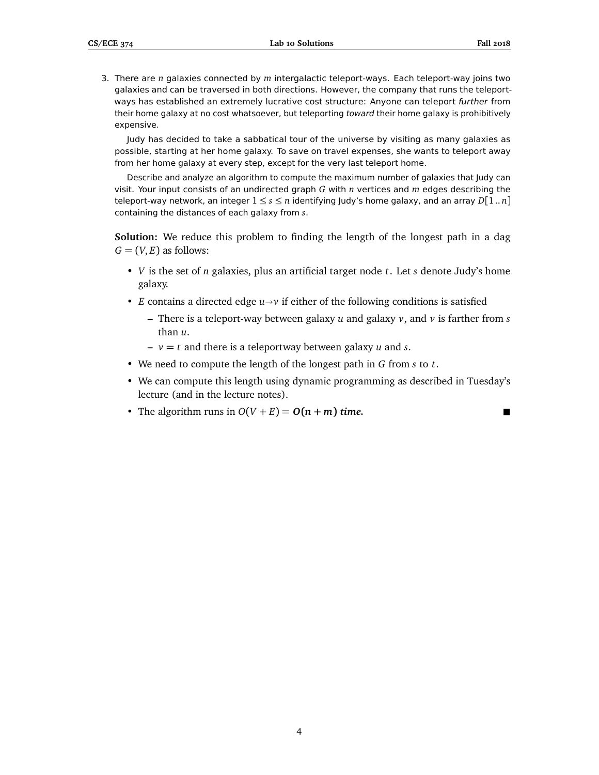3. There are *n* galaxies connected by *m* intergalactic teleport-ways. Each teleport-way joins two galaxies and can be traversed in both directions. However, the company that runs the teleportways has established an extremely lucrative cost structure: Anyone can teleport further from their home galaxy at no cost whatsoever, but teleporting toward their home galaxy is prohibitively expensive.

Judy has decided to take a sabbatical tour of the universe by visiting as many galaxies as possible, starting at her home galaxy. To save on travel expenses, she wants to teleport away from her home galaxy at every step, except for the very last teleport home.

Describe and analyze an algorithm to compute the maximum number of galaxies that Judy can visit. Your input consists of an undirected graph *G* with *n* vertices and *m* edges describing the teleport-way network, an integer  $1 \leq s \leq n$  identifying Judy's home galaxy, and an array  $D[1..n]$ containing the distances of each galaxy from *s*.

**Solution:** We reduce this problem to finding the length of the longest path in a dag  $G = (V, E)$  as follows:

- *V* is the set of *n* galaxies, plus an artificial target node *t*. Let *s* denote Judy's home galaxy.
- *E* contains a directed edge  $u \rightarrow v$  if either of the following conditions is satisfied
	- **–** There is a teleport-way between galaxy *u* and galaxy *v*, and *v* is farther from *s* than *u*.
	- **–** *v* = *t* and there is a teleportway between galaxy *u* and *s*.
- We need to compute the length of the longest path in *G* from *s* to *t*.
- We can compute this length using dynamic programming as described in Tuesday's lecture (and in the lecture notes).
- The algorithm runs in  $O(V + E) = O(n + m)$  time.

4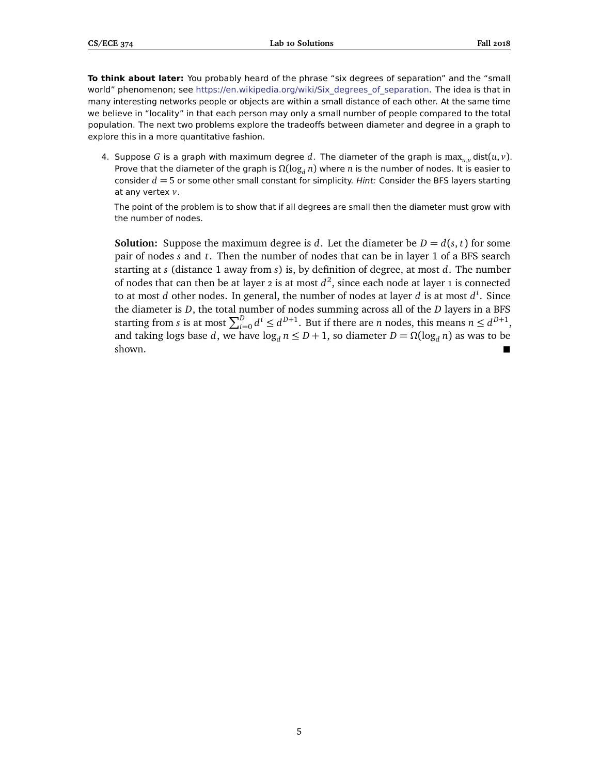**To think about later:** You probably heard of the phrase "six degrees of separation" and the "small world" phenomenon; see [https://en.wikipedia.org/wiki/Six\\_degrees\\_of\\_separation.](https://en.wikipedia.org/wiki/Six_degrees_of_separation) The idea is that in many interesting networks people or objects are within a small distance of each other. At the same time we believe in "locality" in that each person may only a small number of people compared to the total population. The next two problems explore the tradeoffs between diameter and degree in a graph to explore this in a more quantitative fashion.

4. Suppose G is a graph with maximum degree d. The diameter of the graph is  $\max_{u,v} \text{dist}(u, v)$ . Prove that the diameter of the graph is  $\Omega(\log_d n)$  where *n* is the number of nodes. It is easier to consider *d* = 5 or some other small constant for simplicity. Hint: Consider the BFS layers starting at any vertex *v*.

The point of the problem is to show that if all degrees are small then the diameter must grow with the number of nodes.

**Solution:** Suppose the maximum degree is *d*. Let the diameter be  $D = d(s, t)$  for some pair of nodes *s* and *t*. Then the number of nodes that can be in layer 1 of a BFS search starting at *s* (distance 1 away from *s*) is, by definition of degree, at most *d*. The number of nodes that can then be at layer 2 is at most  $d^2$ , since each node at layer 1 is connected to at most *d* other nodes. In general, the number of nodes at layer *d* is at most *d i* . Since the diameter is *D*, the total number of nodes summing across all of the *D* layers in a BFS starting from *s* is at most  $\sum_{i=0}^{D} d^i \leq d^{D+1}$ . But if there are *n* nodes, this means  $n \leq d^{D+1}$ , and taking logs base *d*, we have  $\log_d n \le D + 1$ , so diameter  $D = \Omega(\log_d n)$  as was to be shown. shown.

5